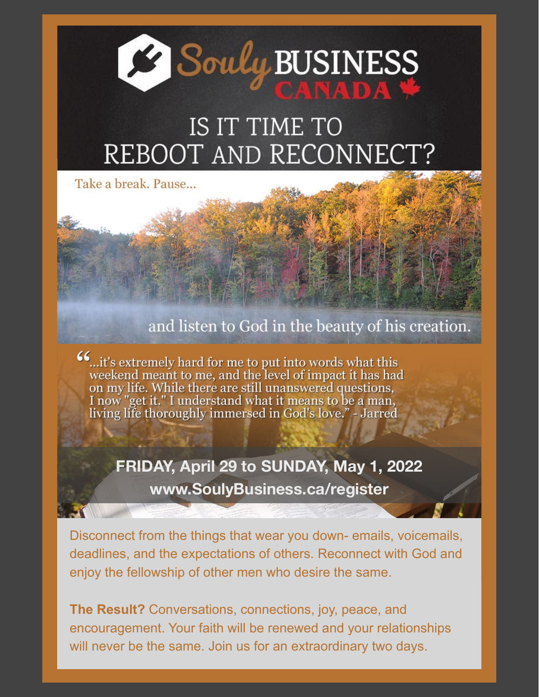

# IS IT TIME TO REBOOT AND RECONNECT?

Take a break, Pause...

# and listen to God in the beauty of his creation.

on my life. While there are still unanswered questions, I now "get it." I understand what it means to be a man, living life thoroughly immersed in God's love." - Jarred

> **FRIDAY, April 29 to SUNDAY, May 1, 2022 www.SoulyBusiness.ca/register**

Disconnect from the things that wear you down- emails, voicemails, deadlines, and the expectations of others. Reconnect with God and enjoy the fellowship of other men who desire the same.

**The Result?** Conversations, connections, joy, peace, and encouragement. Your faith will be renewed and your relationships will never be the same. Join us for an extraordinary two days.